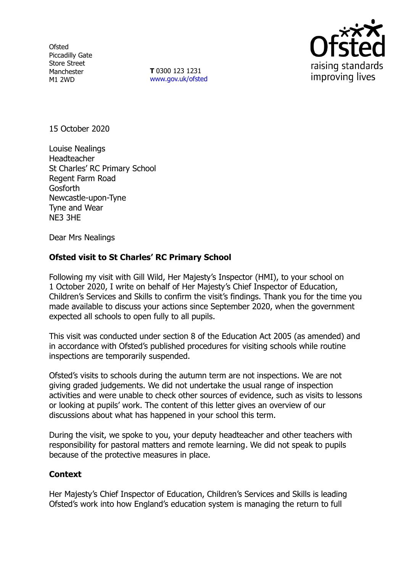**Ofsted** Piccadilly Gate Store Street Manchester M1 2WD

**T** 0300 123 1231 [www.gov.uk/ofsted](http://www.gov.uk/ofsted)



15 October 2020

Louise Nealings Headteacher St Charles' RC Primary School Regent Farm Road Gosforth Newcastle-upon-Tyne Tyne and Wear NE3 3HE

Dear Mrs Nealings

## **Ofsted visit to St Charles' RC Primary School**

Following my visit with Gill Wild, Her Majesty's Inspector (HMI), to your school on 1 October 2020, I write on behalf of Her Majesty's Chief Inspector of Education, Children's Services and Skills to confirm the visit's findings. Thank you for the time you made available to discuss your actions since September 2020, when the government expected all schools to open fully to all pupils.

This visit was conducted under section 8 of the Education Act 2005 (as amended) and in accordance with Ofsted's published procedures for visiting schools while routine inspections are temporarily suspended.

Ofsted's visits to schools during the autumn term are not inspections. We are not giving graded judgements. We did not undertake the usual range of inspection activities and were unable to check other sources of evidence, such as visits to lessons or looking at pupils' work. The content of this letter gives an overview of our discussions about what has happened in your school this term.

During the visit, we spoke to you, your deputy headteacher and other teachers with responsibility for pastoral matters and remote learning. We did not speak to pupils because of the protective measures in place.

## **Context**

Her Majesty's Chief Inspector of Education, Children's Services and Skills is leading Ofsted's work into how England's education system is managing the return to full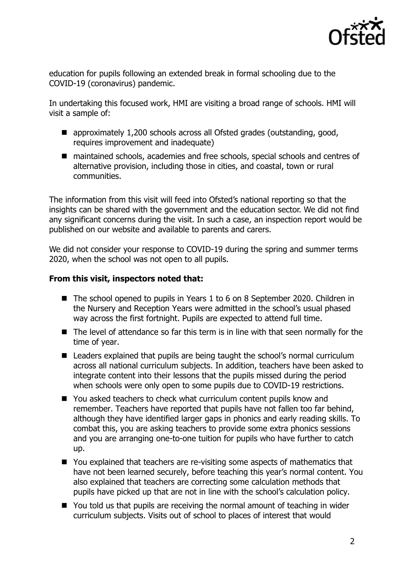

education for pupils following an extended break in formal schooling due to the COVID-19 (coronavirus) pandemic.

In undertaking this focused work, HMI are visiting a broad range of schools. HMI will visit a sample of:

- approximately 1,200 schools across all Ofsted grades (outstanding, good, requires improvement and inadequate)
- maintained schools, academies and free schools, special schools and centres of alternative provision, including those in cities, and coastal, town or rural communities.

The information from this visit will feed into Ofsted's national reporting so that the insights can be shared with the government and the education sector. We did not find any significant concerns during the visit. In such a case, an inspection report would be published on our website and available to parents and carers.

We did not consider your response to COVID-19 during the spring and summer terms 2020, when the school was not open to all pupils.

## **From this visit, inspectors noted that:**

- The school opened to pupils in Years 1 to 6 on 8 September 2020. Children in the Nursery and Reception Years were admitted in the school's usual phased way across the first fortnight. Pupils are expected to attend full time.
- The level of attendance so far this term is in line with that seen normally for the time of year.
- Leaders explained that pupils are being taught the school's normal curriculum across all national curriculum subjects. In addition, teachers have been asked to integrate content into their lessons that the pupils missed during the period when schools were only open to some pupils due to COVID-19 restrictions.
- You asked teachers to check what curriculum content pupils know and remember. Teachers have reported that pupils have not fallen too far behind, although they have identified larger gaps in phonics and early reading skills. To combat this, you are asking teachers to provide some extra phonics sessions and you are arranging one-to-one tuition for pupils who have further to catch up.
- You explained that teachers are re-visiting some aspects of mathematics that have not been learned securely, before teaching this year's normal content. You also explained that teachers are correcting some calculation methods that pupils have picked up that are not in line with the school's calculation policy.
- You told us that pupils are receiving the normal amount of teaching in wider curriculum subjects. Visits out of school to places of interest that would